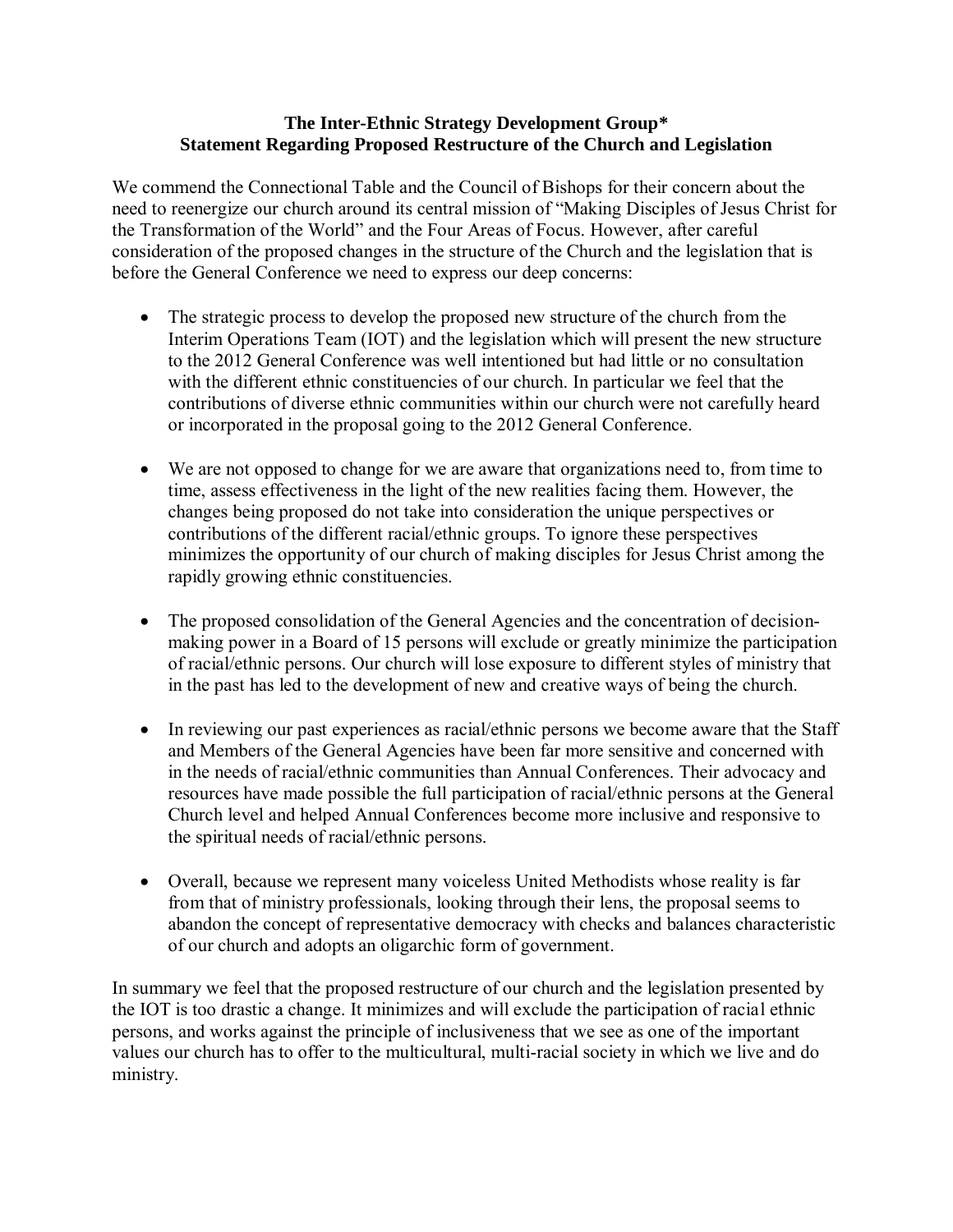## **The Inter-Ethnic Strategy Development Group\* Statement Regarding Proposed Restructure of the Church and Legislation**

We commend the Connectional Table and the Council of Bishops for their concern about the need to reenergize our church around its central mission of "Making Disciples of Jesus Christ for the Transformation of the World" and the Four Areas of Focus. However, after careful consideration of the proposed changes in the structure of the Church and the legislation that is before the General Conference we need to express our deep concerns:

- The strategic process to develop the proposed new structure of the church from the Interim Operations Team (IOT) and the legislation which will present the new structure to the 2012 General Conference was well intentioned but had little or no consultation with the different ethnic constituencies of our church. In particular we feel that the contributions of diverse ethnic communities within our church were not carefully heard or incorporated in the proposal going to the 2012 General Conference.
- We are not opposed to change for we are aware that organizations need to, from time to time, assess effectiveness in the light of the new realities facing them. However, the changes being proposed do not take into consideration the unique perspectives or contributions of the different racial/ethnic groups. To ignore these perspectives minimizes the opportunity of our church of making disciples for Jesus Christ among the rapidly growing ethnic constituencies.
- The proposed consolidation of the General Agencies and the concentration of decisionmaking power in a Board of 15 persons will exclude or greatly minimize the participation of racial/ethnic persons. Our church will lose exposure to different styles of ministry that in the past has led to the development of new and creative ways of being the church.
- In reviewing our past experiences as racial/ethnic persons we become aware that the Staff and Members of the General Agencies have been far more sensitive and concerned with in the needs of racial/ethnic communities than Annual Conferences. Their advocacy and resources have made possible the full participation of racial/ethnic persons at the General Church level and helped Annual Conferences become more inclusive and responsive to the spiritual needs of racial/ethnic persons.
- Overall, because we represent many voiceless United Methodists whose reality is far from that of ministry professionals, looking through their lens, the proposal seems to abandon the concept of representative democracy with checks and balances characteristic of our church and adopts an oligarchic form of government.

In summary we feel that the proposed restructure of our church and the legislation presented by the IOT is too drastic a change. It minimizes and will exclude the participation of racial ethnic persons, and works against the principle of inclusiveness that we see as one of the important values our church has to offer to the multicultural, multi-racial society in which we live and do ministry.